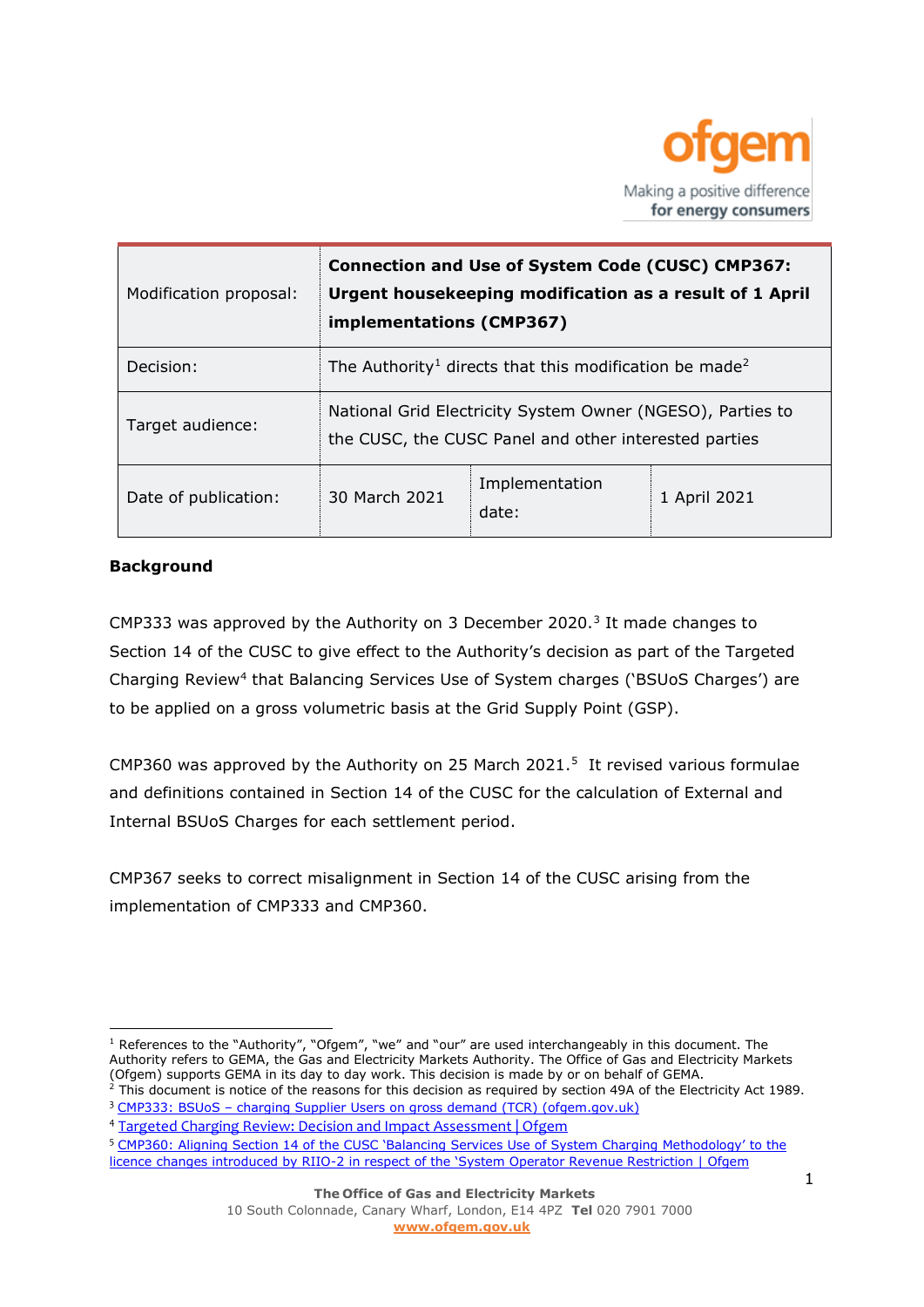

| Modification proposal: | <b>Connection and Use of System Code (CUSC) CMP367:</b><br>Urgent housekeeping modification as a result of 1 April<br>implementations (CMP367) |                         |              |
|------------------------|------------------------------------------------------------------------------------------------------------------------------------------------|-------------------------|--------------|
| Decision:              | The Authority <sup>1</sup> directs that this modification be made <sup>2</sup>                                                                 |                         |              |
| Target audience:       | National Grid Electricity System Owner (NGESO), Parties to<br>the CUSC, the CUSC Panel and other interested parties                            |                         |              |
| Date of publication:   | 30 March 2021                                                                                                                                  | Implementation<br>date: | 1 April 2021 |

## **Background**

CMP333 was approved by the Authority on 3 December 2020.<sup>3</sup> It made changes to Section 14 of the CUSC to give effect to the Authority's decision as part of the Targeted Charging Review<sup>4</sup> that Balancing Services Use of System charges ('BSUoS Charges') are to be applied on a gross volumetric basis at the Grid Supply Point (GSP).

CMP360 was approved by the Authority on 25 March 2021.<sup>5</sup> It revised various formulae and definitions contained in Section 14 of the CUSC for the calculation of External and Internal BSUoS Charges for each settlement period.

CMP367 seeks to correct misalignment in Section 14 of the CUSC arising from the implementation of CMP333 and CMP360.

 $<sup>1</sup>$  References to the "Authority", "Ofgem", "we" and "our" are used interchangeably in this document. The</sup> Authority refers to GEMA, the Gas and Electricity Markets Authority. The Office of Gas and Electricity Markets (Ofgem) supports GEMA in its day to day work. This decision is made by or on behalf of GEMA.  $2$  This document is notice of the reasons for this decision as required by section 49A of the Electricity Act 1989.

<sup>&</sup>lt;sup>3</sup> CMP333: BSUoS – [charging Supplier Users on gross demand \(TCR\) \(ofgem.gov.uk\)](https://www.ofgem.gov.uk/system/files/docs/2020/12/cmp333_final_version_031220.pdf)

<sup>4</sup> [Targeted Charging Review: Decision and Impact Assessment | Ofgem](https://www.ofgem.gov.uk/publications-and-updates/targeted-charging-review-decision-and-impact-assessment)

<sup>5</sup> [CMP360: Aligning Section 14 of the CUSC 'Balancing Services Use of System Charging Methodology' to the](https://www.ofgem.gov.uk/publications-and-updates/cmp360-aligning-section-14-cusc-balancing-services-use-system-charging-methodology-licence-changes-introduced-riio-2-respect-system-operator-revenue-restriction)  licence changes introduced by RIIO-[2 in respect of the 'System Operator Revenue Restriction | Ofgem](https://www.ofgem.gov.uk/publications-and-updates/cmp360-aligning-section-14-cusc-balancing-services-use-system-charging-methodology-licence-changes-introduced-riio-2-respect-system-operator-revenue-restriction)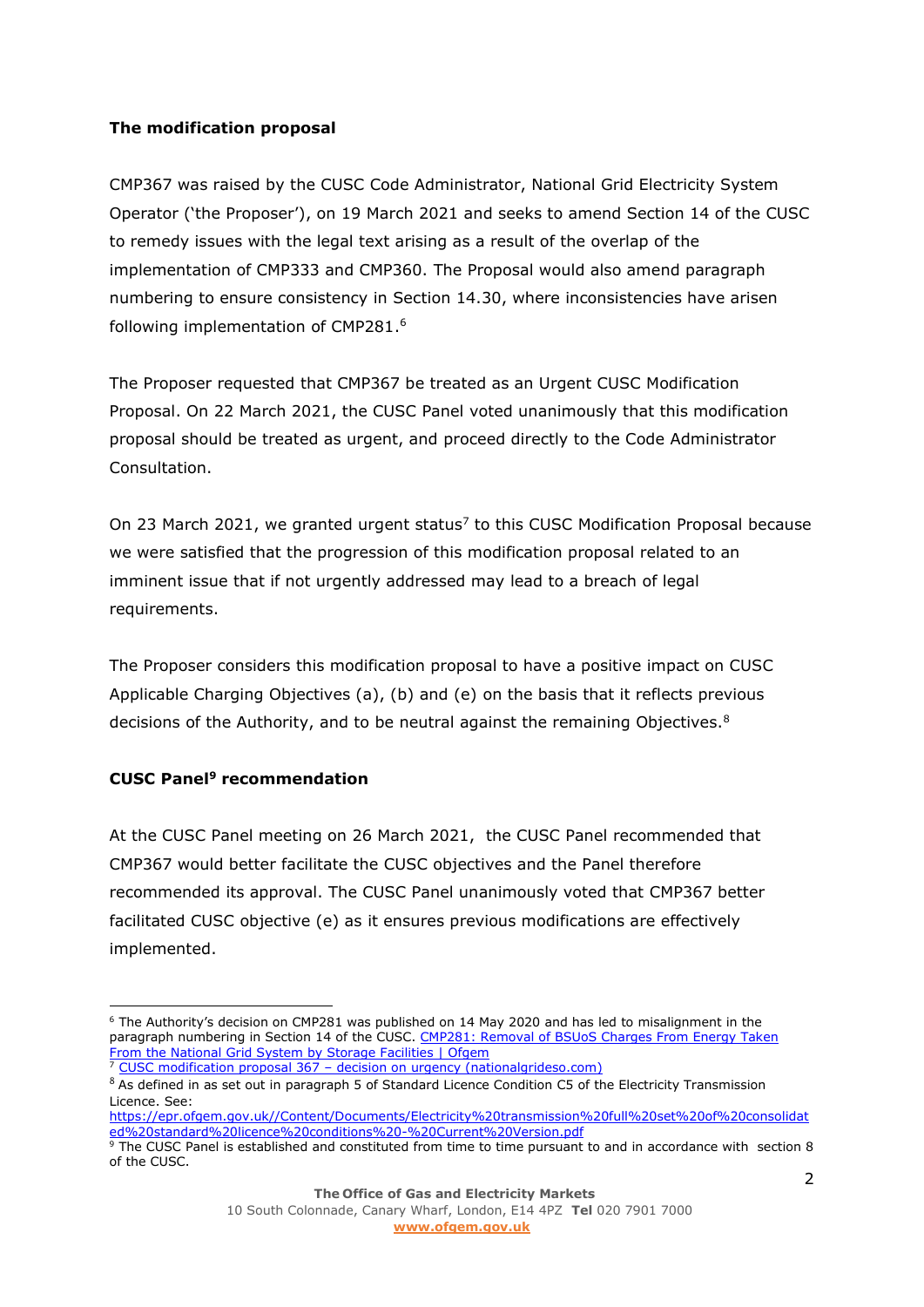## **The modification proposal**

CMP367 was raised by the CUSC Code Administrator, National Grid Electricity System Operator ('the Proposer'), on 19 March 2021 and seeks to amend Section 14 of the CUSC to remedy issues with the legal text arising as a result of the overlap of the implementation of CMP333 and CMP360. The Proposal would also amend paragraph numbering to ensure consistency in Section 14.30, where inconsistencies have arisen following implementation of CMP281. 6

The Proposer requested that CMP367 be treated as an Urgent CUSC Modification Proposal. On 22 March 2021, the CUSC Panel voted unanimously that this modification proposal should be treated as urgent, and proceed directly to the Code Administrator Consultation.

On 23 March 2021, we granted urgent status<sup>7</sup> to this CUSC Modification Proposal because we were satisfied that the progression of this modification proposal related to an imminent issue that if not urgently addressed may lead to a breach of legal requirements.

The Proposer considers this modification proposal to have a positive impact on CUSC Applicable Charging Objectives (a), (b) and (e) on the basis that it reflects previous decisions of the Authority, and to be neutral against the remaining Objectives. $8$ 

## **CUSC Panel<sup>9</sup> recommendation**

At the CUSC Panel meeting on 26 March 2021, the CUSC Panel recommended that CMP367 would better facilitate the CUSC objectives and the Panel therefore recommended its approval. The CUSC Panel unanimously voted that CMP367 better facilitated CUSC objective (e) as it ensures previous modifications are effectively implemented.

[https://epr.ofgem.gov.uk//Content/Documents/Electricity%20transmission%20full%20set%20of%20consolidat](https://epr.ofgem.gov.uk/Content/Documents/Electricity%20transmission%20full%20set%20of%20consolidated%20standard%20licence%20conditions%20-%20Current%20Version.pdf) [ed%20standard%20licence%20conditions%20-%20Current%20Version.pdf](https://epr.ofgem.gov.uk/Content/Documents/Electricity%20transmission%20full%20set%20of%20consolidated%20standard%20licence%20conditions%20-%20Current%20Version.pdf) <sup>9</sup> The CUSC Panel is established and constituted from time to time pursuant to and in accordance with section 8 of the CUSC.

<sup>6</sup> The Authority's decision on CMP281 was published on 14 May 2020 and has led to misalignment in the paragraph numbering in Section 14 of the CUSC. [CMP281: Removal of BSUoS Charges From Energy Taken](https://www.ofgem.gov.uk/publications-and-updates/cmp281-removal-bsuos-charges-energy-taken-national-grid-system-storage-facilities)  [From the National Grid System by Storage Facilities | Ofgem](https://www.ofgem.gov.uk/publications-and-updates/cmp281-removal-bsuos-charges-energy-taken-national-grid-system-storage-facilities) <sup>7</sup> CUSC modification proposal  $367 -$  [decision on urgency \(nationalgrideso.com\)](https://www.nationalgrideso.com/document/188781/download)

<sup>&</sup>lt;sup>8</sup> As defined in as set out in paragraph 5 of Standard Licence Condition C5 of the Electricity Transmission Licence. See: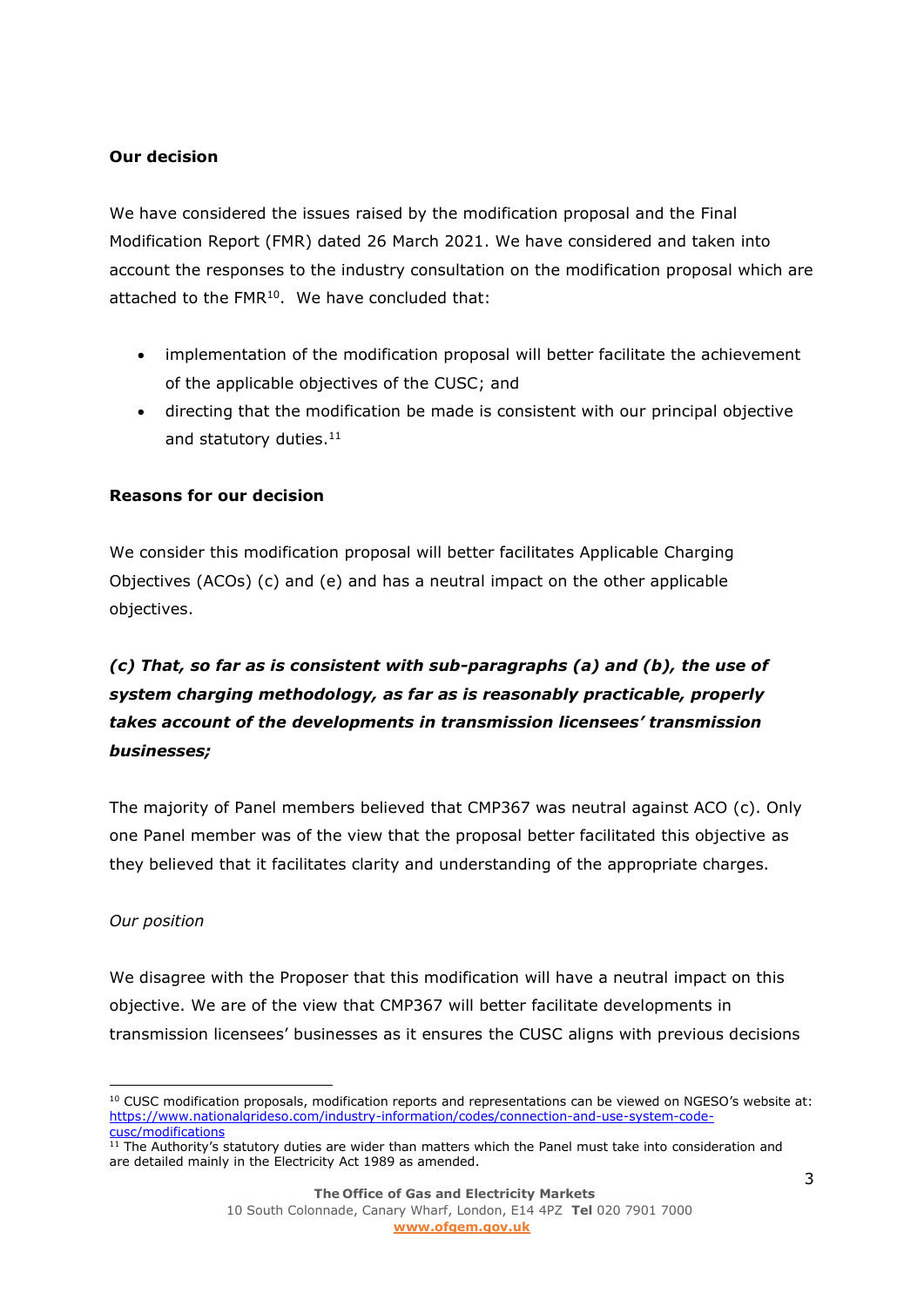#### **Our decision**

We have considered the issues raised by the modification proposal and the Final Modification Report (FMR) dated 26 March 2021. We have considered and taken into account the responses to the industry consultation on the modification proposal which are attached to the FMR<sup>10</sup>. We have concluded that:

- implementation of the modification proposal will better facilitate the achievement of the applicable objectives of the CUSC; and
- directing that the modification be made is consistent with our principal objective and statutory duties. 11

## **Reasons for our decision**

We consider this modification proposal will better facilitates Applicable Charging Objectives (ACOs) (c) and (e) and has a neutral impact on the other applicable objectives.

# *(c) That, so far as is consistent with sub-paragraphs (a) and (b), the use of system charging methodology, as far as is reasonably practicable, properly takes account of the developments in transmission licensees' transmission businesses;*

The majority of Panel members believed that CMP367 was neutral against ACO (c). Only one Panel member was of the view that the proposal better facilitated this objective as they believed that it facilitates clarity and understanding of the appropriate charges.

#### *Our position*

We disagree with the Proposer that this modification will have a neutral impact on this objective. We are of the view that CMP367 will better facilitate developments in transmission licensees' businesses as it ensures the CUSC aligns with previous decisions

<sup>&</sup>lt;sup>10</sup> CUSC modification proposals, modification reports and representations can be viewed on NGESO's website at: [https://www.nationalgrideso.com/industry-information/codes/connection-and-use-system-code](https://www.nationalgrideso.com/industry-information/codes/connection-and-use-system-code-cusc/modifications)[cusc/modifications](https://www.nationalgrideso.com/industry-information/codes/connection-and-use-system-code-cusc/modifications)

 $11$  The Authority's statutory duties are wider than matters which the Panel must take into consideration and are detailed mainly in the Electricity Act 1989 as amended.